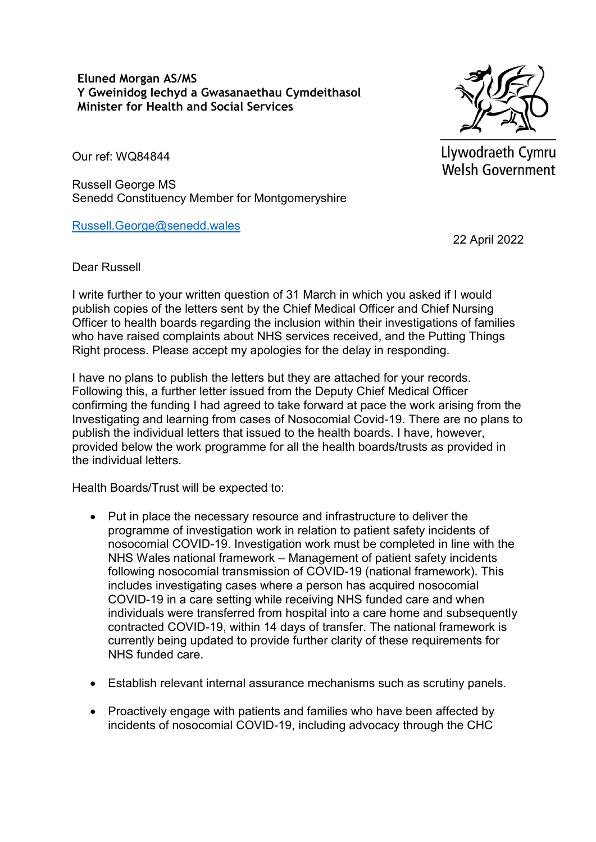**Eluned Morgan AS/MS Y Gweinidog Iechyd a Gwasanaethau Cymdeithasol Minister for Health and Social Services**



Llywodraeth Cymru **Welsh Government** 

Our ref: WQ84844

Russell George MS Senedd Constituency Member for Montgomeryshire

[Russell.George@senedd.wales](mailto:Russell.George@senedd.wales)

22 April 2022

Dear Russell

I write further to your written question of 31 March in which you asked if I would publish copies of the letters sent by the Chief Medical Officer and Chief Nursing Officer to health boards regarding the inclusion within their investigations of families who have raised complaints about NHS services received, and the Putting Things Right process. Please accept my apologies for the delay in responding.

I have no plans to publish the letters but they are attached for your records. Following this, a further letter issued from the Deputy Chief Medical Officer confirming the funding I had agreed to take forward at pace the work arising from the Investigating and learning from cases of Nosocomial Covid-19. There are no plans to publish the individual letters that issued to the health boards. I have, however, provided below the work programme for all the health boards/trusts as provided in the individual letters.

Health Boards/Trust will be expected to:

- Put in place the necessary resource and infrastructure to deliver the programme of investigation work in relation to patient safety incidents of nosocomial COVID-19. Investigation work must be completed in line with the NHS Wales national framework – Management of patient safety incidents following nosocomial transmission of COVID-19 (national framework). This includes investigating cases where a person has acquired nosocomial COVID-19 in a care setting while receiving NHS funded care and when individuals were transferred from hospital into a care home and subsequently contracted COVID-19, within 14 days of transfer. The national framework is currently being updated to provide further clarity of these requirements for NHS funded care.
- Establish relevant internal assurance mechanisms such as scrutiny panels.
- Proactively engage with patients and families who have been affected by incidents of nosocomial COVID-19, including advocacy through the CHC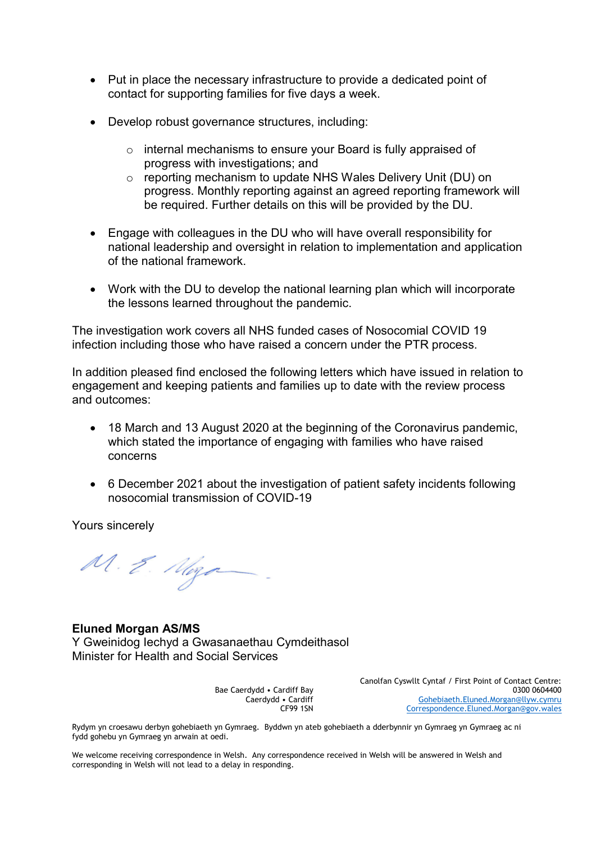- Put in place the necessary infrastructure to provide a dedicated point of contact for supporting families for five days a week.
- Develop robust governance structures, including:
	- o internal mechanisms to ensure your Board is fully appraised of progress with investigations; and
	- o reporting mechanism to update NHS Wales Delivery Unit (DU) on progress. Monthly reporting against an agreed reporting framework will be required. Further details on this will be provided by the DU.
- Engage with colleagues in the DU who will have overall responsibility for national leadership and oversight in relation to implementation and application of the national framework.
- Work with the DU to develop the national learning plan which will incorporate the lessons learned throughout the pandemic.

The investigation work covers all NHS funded cases of Nosocomial COVID 19 infection including those who have raised a concern under the PTR process.

In addition pleased find enclosed the following letters which have issued in relation to engagement and keeping patients and families up to date with the review process and outcomes:

- 18 March and 13 August 2020 at the beginning of the Coronavirus pandemic, which stated the importance of engaging with families who have raised concerns
- 6 December 2021 about the investigation of patient safety incidents following nosocomial transmission of COVID-19

Yours sincerely

M. E. Noga

**Eluned Morgan AS/MS** Y Gweinidog Iechyd a Gwasanaethau Cymdeithasol Minister for Health and Social Services

> Bae Caerdydd • Cardiff Bay Caerdydd • Cardiff CF99 1SN

Canolfan Cyswllt Cyntaf / First Point of Contact Centre: 0300 0604400 [Gohebiaeth.Eluned.Morgan@llyw.cymru](mailto:Gohebiaeth.Eluned.Morgan@llyw.cymru) [Correspondence.Eluned.Morgan@gov.wales](mailto:Correspondence.Eluned.Morgan@gov.wales)

Rydym yn croesawu derbyn gohebiaeth yn Gymraeg. Byddwn yn ateb gohebiaeth a dderbynnir yn Gymraeg yn Gymraeg ac ni fydd gohebu yn Gymraeg yn arwain at oedi.

We welcome receiving correspondence in Welsh. Any correspondence received in Welsh will be answered in Welsh and corresponding in Welsh will not lead to a delay in responding.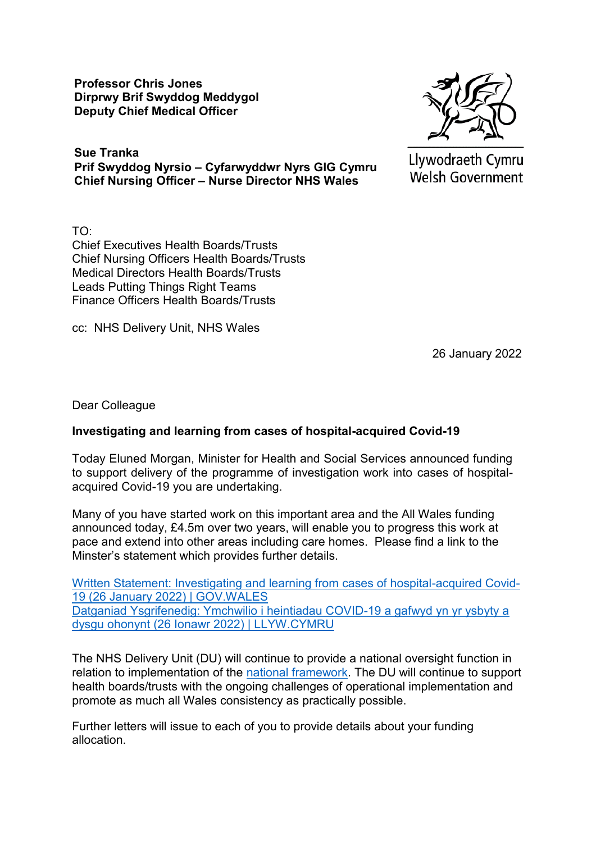**Professor Chris Jones Dirprwy Brif Swyddog Meddygol Deputy Chief Medical Officer**

**Sue Tranka Prif Swyddog Nyrsio – Cyfarwyddwr Nyrs GIG Cymru Chief Nursing Officer – Nurse Director NHS Wales**



Llywodraeth Cymru **Welsh Government** 

TO: Chief Executives Health Boards/Trusts Chief Nursing Officers Health Boards/Trusts Medical Directors Health Boards/Trusts Leads Putting Things Right Teams Finance Officers Health Boards/Trusts

cc: NHS Delivery Unit, NHS Wales

26 January 2022

#### Dear Colleague

### **Investigating and learning from cases of hospital-acquired Covid-19**

Today Eluned Morgan, Minister for Health and Social Services announced funding to support delivery of the programme of investigation work into cases of hospitalacquired Covid-19 you are undertaking.

Many of you have started work on this important area and the All Wales funding announced today, £4.5m over two years, will enable you to progress this work at pace and extend into other areas including care homes. Please find a link to the Minster's statement which provides further details.

[Written Statement: Investigating and learning from cases of hospital-acquired Covid-](https://eur01.safelinks.protection.outlook.com/?url=https%3A%2F%2Fgov.wales%2Fwritten-statement-investigating-and-learning-cases-hospital-acquired-covid-19&data=04%7C01%7CCatherine.Cody%40gov.wales%7C2cc2d404b2284242479108d9e0d446b6%7Ca2cc36c592804ae78887d06dab89216b%7C0%7C0%7C637788024582234504%7CUnknown%7CTWFpbGZsb3d8eyJWIjoiMC4wLjAwMDAiLCJQIjoiV2luMzIiLCJBTiI6Ik1haWwiLCJXVCI6Mn0%3D%7C3000&sdata=WlzIx6ay10yKHMEvsCWZ7fuueMAvWvc8ZEz5pyh%2FzO0%3D&reserved=0)[19 \(26 January 2022\) | GOV.WALES](https://eur01.safelinks.protection.outlook.com/?url=https%3A%2F%2Fgov.wales%2Fwritten-statement-investigating-and-learning-cases-hospital-acquired-covid-19&data=04%7C01%7CCatherine.Cody%40gov.wales%7C2cc2d404b2284242479108d9e0d446b6%7Ca2cc36c592804ae78887d06dab89216b%7C0%7C0%7C637788024582234504%7CUnknown%7CTWFpbGZsb3d8eyJWIjoiMC4wLjAwMDAiLCJQIjoiV2luMzIiLCJBTiI6Ik1haWwiLCJXVCI6Mn0%3D%7C3000&sdata=WlzIx6ay10yKHMEvsCWZ7fuueMAvWvc8ZEz5pyh%2FzO0%3D&reserved=0) [Datganiad Ysgrifenedig: Ymchwilio i heintiadau COVID-19 a gafwyd yn yr ysbyty a](https://eur01.safelinks.protection.outlook.com/?url=https%3A%2F%2Fllyw.cymru%2Fdatganiad-ysgrifenedig-ymchwilio-i-heintiadau-covid-19-gafwyd-yn-yr-ysbyty-dysgu-ohonynt&data=04%7C01%7CCatherine.Cody%40gov.wales%7C2cc2d404b2284242479108d9e0d446b6%7Ca2cc36c592804ae78887d06dab89216b%7C0%7C0%7C637788024582234504%7CUnknown%7CTWFpbGZsb3d8eyJWIjoiMC4wLjAwMDAiLCJQIjoiV2luMzIiLCJBTiI6Ik1haWwiLCJXVCI6Mn0%3D%7C3000&sdata=9XbVH1IPxWmzBXdlwJdYUpxenetX%2FisySlt0AEJHaT0%3D&reserved=0)  [dysgu ohonynt \(26 Ionawr 2022\) | LLYW.CYMRU](https://eur01.safelinks.protection.outlook.com/?url=https%3A%2F%2Fllyw.cymru%2Fdatganiad-ysgrifenedig-ymchwilio-i-heintiadau-covid-19-gafwyd-yn-yr-ysbyty-dysgu-ohonynt&data=04%7C01%7CCatherine.Cody%40gov.wales%7C2cc2d404b2284242479108d9e0d446b6%7Ca2cc36c592804ae78887d06dab89216b%7C0%7C0%7C637788024582234504%7CUnknown%7CTWFpbGZsb3d8eyJWIjoiMC4wLjAwMDAiLCJQIjoiV2luMzIiLCJBTiI6Ik1haWwiLCJXVCI6Mn0%3D%7C3000&sdata=9XbVH1IPxWmzBXdlwJdYUpxenetX%2FisySlt0AEJHaT0%3D&reserved=0)

The NHS Delivery Unit (DU) will continue to provide a national oversight function in relation to implementation of the [national framework.](http://www.wales.nhs.uk/documents/20211104%20-%20NHS%20Wales%20national%20framework%20%E2%80%93%20Management%20of%20patient%20safety%20incidents%20following%20nosocomial%20transmission%20of%20COVID-19.pdf) The DU will continue to support health boards/trusts with the ongoing challenges of operational implementation and promote as much all Wales consistency as practically possible.

Further letters will issue to each of you to provide details about your funding allocation.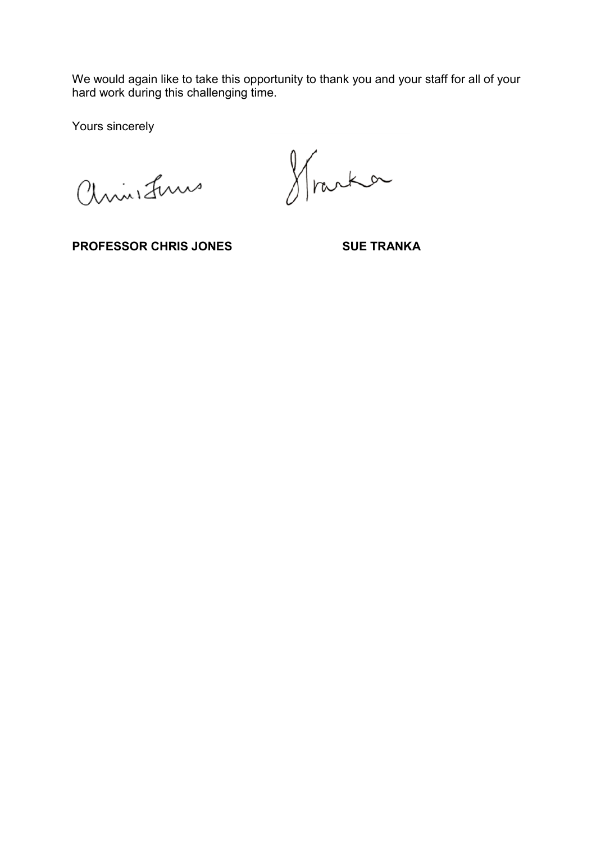We would again like to take this opportunity to thank you and your staff for all of your hard work during this challenging time.

Yours sincerely

Christme

Wracka

**PROFESSOR CHRIS JONES SUE TRANKA**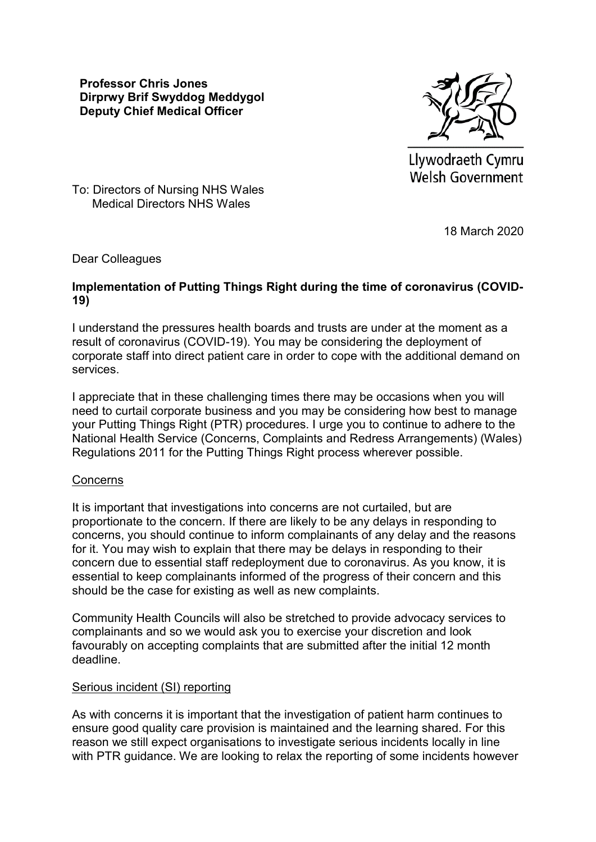**Professor Chris Jones Dirprwy Brif Swyddog Meddygol Deputy Chief Medical Officer**



Llywodraeth Cymru **Welsh Government** 

To: Directors of Nursing NHS Wales Medical Directors NHS Wales

18 March 2020

Dear Colleagues

## **Implementation of Putting Things Right during the time of coronavirus (COVID-19)**

I understand the pressures health boards and trusts are under at the moment as a result of coronavirus (COVID-19). You may be considering the deployment of corporate staff into direct patient care in order to cope with the additional demand on services.

I appreciate that in these challenging times there may be occasions when you will need to curtail corporate business and you may be considering how best to manage your Putting Things Right (PTR) procedures. I urge you to continue to adhere to the National Health Service (Concerns, Complaints and Redress Arrangements) (Wales) Regulations 2011 for the Putting Things Right process wherever possible.

### **Concerns**

It is important that investigations into concerns are not curtailed, but are proportionate to the concern. If there are likely to be any delays in responding to concerns, you should continue to inform complainants of any delay and the reasons for it. You may wish to explain that there may be delays in responding to their concern due to essential staff redeployment due to coronavirus. As you know, it is essential to keep complainants informed of the progress of their concern and this should be the case for existing as well as new complaints.

Community Health Councils will also be stretched to provide advocacy services to complainants and so we would ask you to exercise your discretion and look favourably on accepting complaints that are submitted after the initial 12 month deadline.

#### Serious incident (SI) reporting

As with concerns it is important that the investigation of patient harm continues to ensure good quality care provision is maintained and the learning shared. For this reason we still expect organisations to investigate serious incidents locally in line with PTR guidance. We are looking to relax the reporting of some incidents however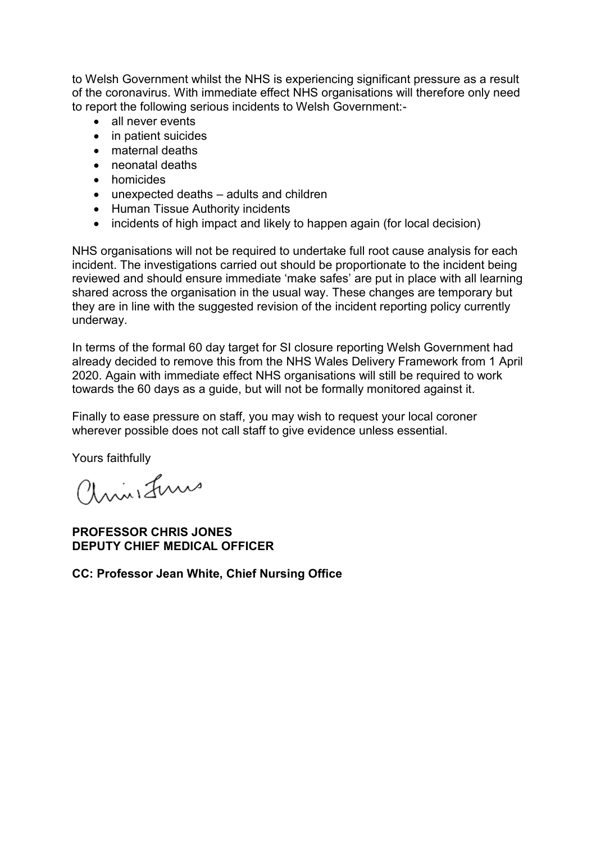to Welsh Government whilst the NHS is experiencing significant pressure as a result of the coronavirus. With immediate effect NHS organisations will therefore only need to report the following serious incidents to Welsh Government:-

- all never events
- in patient suicides
- maternal deaths
- neonatal deaths
- homicides
- unexpected deaths adults and children
- Human Tissue Authority incidents
- incidents of high impact and likely to happen again (for local decision)

NHS organisations will not be required to undertake full root cause analysis for each incident. The investigations carried out should be proportionate to the incident being reviewed and should ensure immediate 'make safes' are put in place with all learning shared across the organisation in the usual way. These changes are temporary but they are in line with the suggested revision of the incident reporting policy currently underway.

In terms of the formal 60 day target for SI closure reporting Welsh Government had already decided to remove this from the NHS Wales Delivery Framework from 1 April 2020. Again with immediate effect NHS organisations will still be required to work towards the 60 days as a guide, but will not be formally monitored against it.

Finally to ease pressure on staff, you may wish to request your local coroner wherever possible does not call staff to give evidence unless essential.

Yours faithfully

Christme

**PROFESSOR CHRIS JONES DEPUTY CHIEF MEDICAL OFFICER** 

**CC: Professor Jean White, Chief Nursing Office**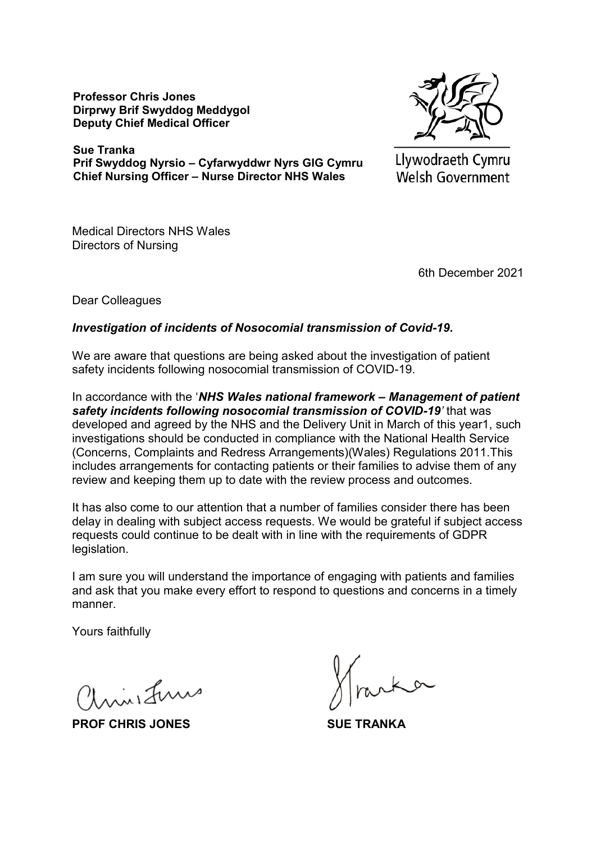**Professor Chris Jones Dirprwy Brif Swyddog Meddygol Deputy Chief Medical Officer**



**Sue Tranka Prif Swyddog Nyrsio – Cyfarwyddwr Nyrs GIG Cymru Chief Nursing Officer – Nurse Director NHS Wales**

Llywodraeth Cymru **Welsh Government** 

Medical Directors NHS Wales Directors of Nursing

6th December 2021

Dear Colleagues

# *Investigation of incidents of Nosocomial transmission of Covid-19.*

We are aware that questions are being asked about the investigation of patient safety incidents following nosocomial transmission of COVID-19.

In accordance with the '*NHS Wales national framework – Management of patient safety incidents following nosocomial transmission of COVID-19'* that was developed and agreed by the NHS and the Delivery Unit in March of this year1, such investigations should be conducted in compliance with the National Health Service (Concerns, Complaints and Redress Arrangements)(Wales) Regulations 2011.This includes arrangements for contacting patients or their families to advise them of any review and keeping them up to date with the review process and outcomes.

It has also come to our attention that a number of families consider there has been delay in dealing with subject access requests. We would be grateful if subject access requests could continue to be dealt with in line with the requirements of GDPR legislation.

I am sure you will understand the importance of engaging with patients and families and ask that you make every effort to respond to questions and concerns in a timely manner.

Yours faithfully

Universitions

**PROF CHRIS JONES SUE TRANKA**